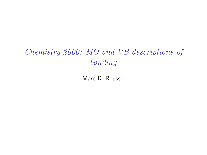## Chemistry 2000: MO and VB descriptions of bonding

Marc R. Roussel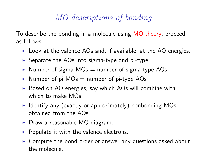## MO descriptions of bonding

To describe the bonding in a molecule using MO theory, proceed as follows:

- $\triangleright$  Look at the valence AOs and, if available, at the AO energies.
- $\triangleright$  Separate the AOs into sigma-type and pi-type.
- $\triangleright$  Number of sigma MOs  $=$  number of sigma-type AOs
- $\triangleright$  Number of pi MOs  $=$  number of pi-type AOs
- $\triangleright$  Based on AO energies, say which AOs will combine with which to make MOs.
- $\triangleright$  Identify any (exactly or approximately) nonbonding MOs obtained from the AOs.
- $\triangleright$  Draw a reasonable MO diagram.
- $\triangleright$  Populate it with the valence electrons.
- $\triangleright$  Compute the bond order or answer any questions asked about the molecule.